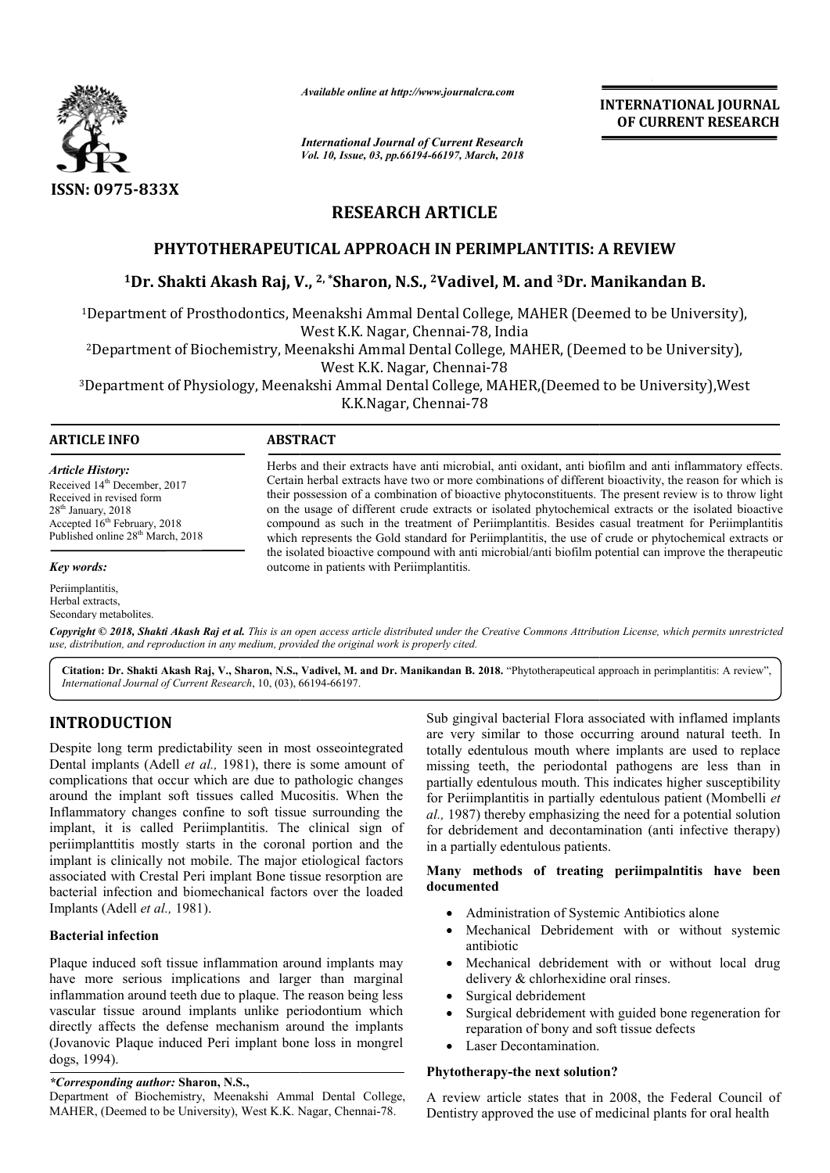

*Available online at http://www.journalcra.com*

*International Journal of Current Research Vol. 10, Issue, 03, pp.66194-66197, March, 2018*

**INTERNATIONAL JOURNAL OF CURRENT RESEARCH**

# **RESEARCH ARTICLE**

# **PHYTOTHERAPEUTICAL APPROACH IN PERIMPLANTITIS: A REVIEW**

# <sup>1</sup>Dr. Shakti Akash Raj, V., <sup>2, \*</sup>Sharon, N.S., <sup>2</sup>Vadivel, M. and <sup>3</sup>Dr. Manikandan B.

<sup>1</sup>Department of Prosthodontics, Meenakshi Ammal Dental College, MAHER (Deemed to be University), West K.K. Nagar, Chennai-78, India

<sup>2</sup>Department of Biochemistry, Meenakshi Ammal Dental College, MAHER, (Deemed to be University),<br>West K.K. Nagar, Chennai-78

<sup>3</sup>Department of Physiology, Meenakshi Ammal Dental College, MAHER,(Deemed to be University),West K.K.Nagar, Chennai-78

# **ARTICLE INFO ABSTRACT**

*Article History:* Received 14<sup>th</sup> December, 2017 Received in revised form 28<sup>th</sup> January, 2018 Accepted  $16^{th}$  February, 2018 Published online 28<sup>th</sup> March, 2018

#### *Key words:*

Periimplantitis, Herbal extracts, Secondary metabolites.

Herbs and their extracts have anti microbial, anti oxidant, anti biofilm and anti inflammatory effects. Certain herbal extracts have two or more combinations of different bioactivity, the reason for which is Certain herbal extracts have two or more combinations of different bioactivity, the reason for which is their possession of a combination of bioactive phytoconstituents. The present review is to throw light on the usage of different crude extracts or isolated phytochemical extracts or the isolated bioactive compound as such in the treatment of Periimplantitis. Besides casual treatment for Periimplantitis compound as such in the treatment of Periimplantitis. Besides casual treatment for Periimplantitis which represents the Gold standard for Periimplantitis, the use of crude or phytochemical extracts or the isolated bioactive compound with anti microbial/anti biofilm potential can improve the therapeutic outcome in patients with Periimplantitis.

Copyright © 2018, Shakti Akash Raj et al. This is an open access article distributed under the Creative Commons Attribution License, which permits unrestrictea *use, distribution, and reproduction in any medium, provided the original work is properly cited.*

Citation: Dr. Shakti Akash Raj, V., Sharon, N.S., Vadivel, M. and Dr. Manikandan B. 2018. "Phytotherapeutical approach in perimplantitis: A review", *International Journal of Current Research*, 10, (03), 66194 66194-66197.

# **INTRODUCTION**

Despite long term predictability seen in most osseointegrated Dental implants (Adell *et al.*, 1981), there is some amount of complications that occur which are due to pathologic changes around the implant soft tissues called Mucositis. When the Inflammatory changes confine to soft tissue surrounding the implant, it is called Periimplantitis. The clinical sign of periimplanttitis mostly starts in the coronal portion and the implant is clinically not mobile. The major etiological factors associated with Crestal Peri implant Bone tissue resorption are bacterial infection and biomechanical factors over the loaded Implants (Adell *et al.,* 1981).

# **Bacterial infection**

Plaque induced soft tissue inflammation around implants may have more serious implications and larger than marginal inflammation around teeth due to plaque. The reason being less vascular tissue around implants unlike periodontium which directly affects the defense mechanism around the implants (Jovanovic Plaque induced Peri implant bone loss in mongrel dogs, 1994). Jovanovic Plaque induced Peri implant bone loss in mongre<br>logs, 1994).<br>Corresponding *author*: Sharon, N.S.,<br>Department of Biochemistry, Meenakshi Ammal Dental Colleg<br>MAHER, (Deemed to be University), West K.K. Nagar, Chen

*\*Corresponding author:* **Sharon, N.S.,** 

Department of Biochemistry, Meenakshi Ammal Dental College, MAHER, (Deemed to be University), West K.K. Nagar, Chennai

Sub gingival bacterial Flora associated Flora associated with inflamed implants are very similar to those occurring around natural teeth. In totally edentulous mouth where implants are used to replace missing teeth, the periodontal pathogens are less than in partially edentulous mouth. This indicates higher susceptibility missing teeth, the periodontal pathogens are less than in partially edentulous mouth. This indicates higher susceptibility for Periimplantitis in partially edentulous patient (Mombelli *et* al., 1987) thereby emphasizing the need for a potential solution for debridement and decontamination (anti infective therapy) in a partially edentulous patients. **INTERNATIONAL JOURNAL**<br> **Controls and Control Control Control Control Control Control Control Control Control Control (** $\sigma$ **), 2018<br>
LE<br>
LE<br>
LE<br>
LE<br>
LE<br>
LE<br>
LE<br>
CON AIMER (Deemed to be University),<br>**  $\sigma$ **, B, India<br>**  $\sigma$ **,** 

# Many methods of treating periimpalntitis have been **documented**

- Administration of Systemic Antibiotics alone
- Mechanical Debridement with or without systemic antibiotic
- Mechanical debridement with or without local drug delivery & chlorhexidine oral rinses. • Mechanical debridement with or without local drug delivery & chlorhexidine oral rinses.<br>• Surgical debridement<br>• Surgical debridement with guided bone regeneration for
- Surgical debridement
- reparation of bony and soft tissue defects
- Laser Decontamination.

# **Phytotherapy-the next solution? the next solution?**

A review article states that in 2008, the Federal Council of Dentistry approved the use of medicinal plants for oral health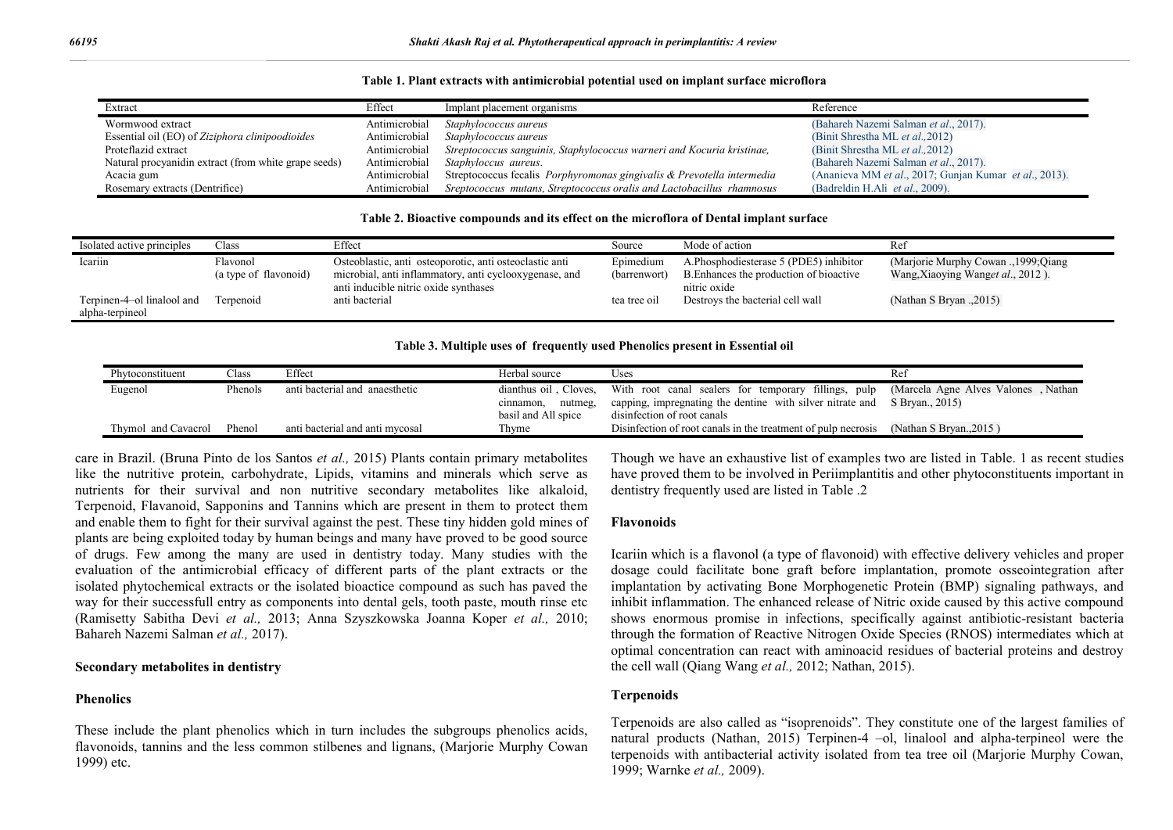|  | Table 1. Plant extracts with antimicrobial potential used on implant surface microflora |  |  |  |  |  |  |  |  |
|--|-----------------------------------------------------------------------------------------|--|--|--|--|--|--|--|--|
|--|-----------------------------------------------------------------------------------------|--|--|--|--|--|--|--|--|

| Extract                                              | Effect        | Implant placement organisms                                            | Reference                                              |
|------------------------------------------------------|---------------|------------------------------------------------------------------------|--------------------------------------------------------|
| Wormwood extract                                     | Antimicrobial | Staphylococcus aureus                                                  | (Bahareh Nazemi Salman et al., 2017).                  |
| Essential oil (EO) of Ziziphora clinipoodioides      | Antimicrobial | Staphylococcus aureus                                                  | (Binit Shrestha ML et al., 2012)                       |
| Proteflazid extract                                  | Antimicrobial | Streptococcus sanguinis, Staphylococcus warneri and Kocuria kristinae, | (Binit Shrestha ML et al., 2012)                       |
| Natural procyanidin extract (from white grape seeds) | Antimicrobial | Staphyloccus aureus.                                                   | (Bahareh Nazemi Salman et al., 2017).                  |
| Acacia gum                                           | Antimicrobial | Streptococcus fecalis Porphyromonas gingivalis & Prevotella intermedia | (Ananieva MM et al., 2017; Gunjan Kumar et al., 2013). |
| Rosemary extracts (Dentrifice)                       | Antimicrobial | Sreptococcus mutans, Streptococcus oralis and Lactobacillus rhamnosus  | (Badreldin H.Ali et al., 2009).                        |

#### **Table 2. Bioactive compounds and its effect on the microflora of Dental implant surface**

| Isolated active principles                    | Class                             | Effect                                                                                                                                                     | Source                    | Mode of action                                                                                    | Ref                                                                        |
|-----------------------------------------------|-----------------------------------|------------------------------------------------------------------------------------------------------------------------------------------------------------|---------------------------|---------------------------------------------------------------------------------------------------|----------------------------------------------------------------------------|
| Icariin                                       | Flavonol<br>(a type of flavonoid) | Osteoblastic, anti osteoporotic, anti osteoclastic anti<br>microbial, anti inflammatory, anti cyclooxygenase, and<br>anti inducible nitric oxide synthases | Epimedium<br>(barrenwort) | A.Phosphodiesterase 5 (PDE5) inhibitor<br>B. Enhances the production of bioactive<br>nitric oxide | (Marjorie Murphy Cowan ., 1999; Qiang<br>Wang, Xiaoying Wanget al., 2012). |
| Terpinen-4-ol linalool and<br>alpha-terpineol | Terpenoid                         | anti bacterial                                                                                                                                             | tea tree oil              | Destroys the bacterial cell wall                                                                  | (Nathan S Bryan ., 2015)                                                   |

#### **Table 3. Multiple uses of frequently used Phenolics present in Essential oil**

| Phytoconstituent    | $\bigcap$ ass | Effect                          | Herbal source                               | Uses                                                                                                                                                                                                                       | Rei                  |
|---------------------|---------------|---------------------------------|---------------------------------------------|----------------------------------------------------------------------------------------------------------------------------------------------------------------------------------------------------------------------------|----------------------|
| Eugenol             | Phenols       | anti bacterial and anaesthetic  | nutmeg,<br>cinnamon,<br>basil and All spice | dianthus oil, Cloves, With root canal sealers for temporary fillings, pulp (Marcela Agne Alves Valones, Nathan<br>capping, impregnating the dentine with silver nitrate and S Bryan., 2015)<br>disinfection of root canals |                      |
| Thymol and Cavacrol | Phenol        | anti bacterial and anti mycosal | Thyme                                       | Disinfection of root canals in the treatment of pulp necrosis                                                                                                                                                              | (Nathan S Brvan2015) |

care in Brazil. (Bruna Pinto de los Santos *et al.,* 2015) Plants contain primary metabolites like the nutritive protein, carbohydrate, Lipids, vitamins and minerals which serve as nutrients for their survival and non nutritive secondary metabolites like alkaloid, Terpenoid, Flavanoid, Sapponins and Tannins which are present in them to protect them and enable them to fight for their survival against the pest. These tiny hidden gold mines of plants are being exploited today by human beings and many have proved to be good source of drugs. Few among the many are used in dentistry today. Many studies with the evaluation of the antimicrobial efficacy of different parts of the plant extracts or the isolated phytochemical extracts or the isolated bioactice compound as such has paved the way for their successfull entry as components into dental gels, tooth paste, mouth rinse etc (Ramisetty Sabitha Devi *et al.,* 2013; Anna Szyszkowska Joanna Koper *et al.,* 2010; Bahareh Nazemi Salman *et al.,* 2017).

#### **Secondary metabolites in dentistry**

#### **Phenolics**

These include the plant phenolics which in turn includes the subgroups phenolics acids, flavonoids, tannins and the less common stilbenes and lignans, (Marjorie Murphy Cowan 1999) etc.

Though we have an exhaustive list of examples two are listed in Table. 1 as recent studies have proved them to be involved in Periimplantitis and other phytoconstituents important in dentistry frequently used are listed in Table .2

### **Flavonoids**

Icariin which is a flavonol (a type of flavonoid) with effective delivery vehicles and proper dosage could facilitate bone graft before implantation, promote osseointegration after implantation by activating Bone Morphogenetic Protein (BMP) signaling pathways, and inhibit inflammation. The enhanced release of Nitric oxide caused by this active compound shows enormous promise in infections, specifically against antibiotic-resistant bacteria through the formation of Reactive Nitrogen Oxide Species (RNOS) intermediates which at optimal concentration can react with aminoacid residues of bacterial proteins and destroy the cell wall (Qiang Wang *et al.,* 2012; Nathan, 2015).

## **Terpenoids**

Terpenoids are also called as "isoprenoids". They constitute one of the largest families of natural products (Nathan, 2015) Terpinen-4 –ol, linalool and alpha-terpineol were the terpenoids with antibacterial activity isolated from tea tree oil (Marjorie Murphy Cowan, 1999; Warnke *et al.,* 2009).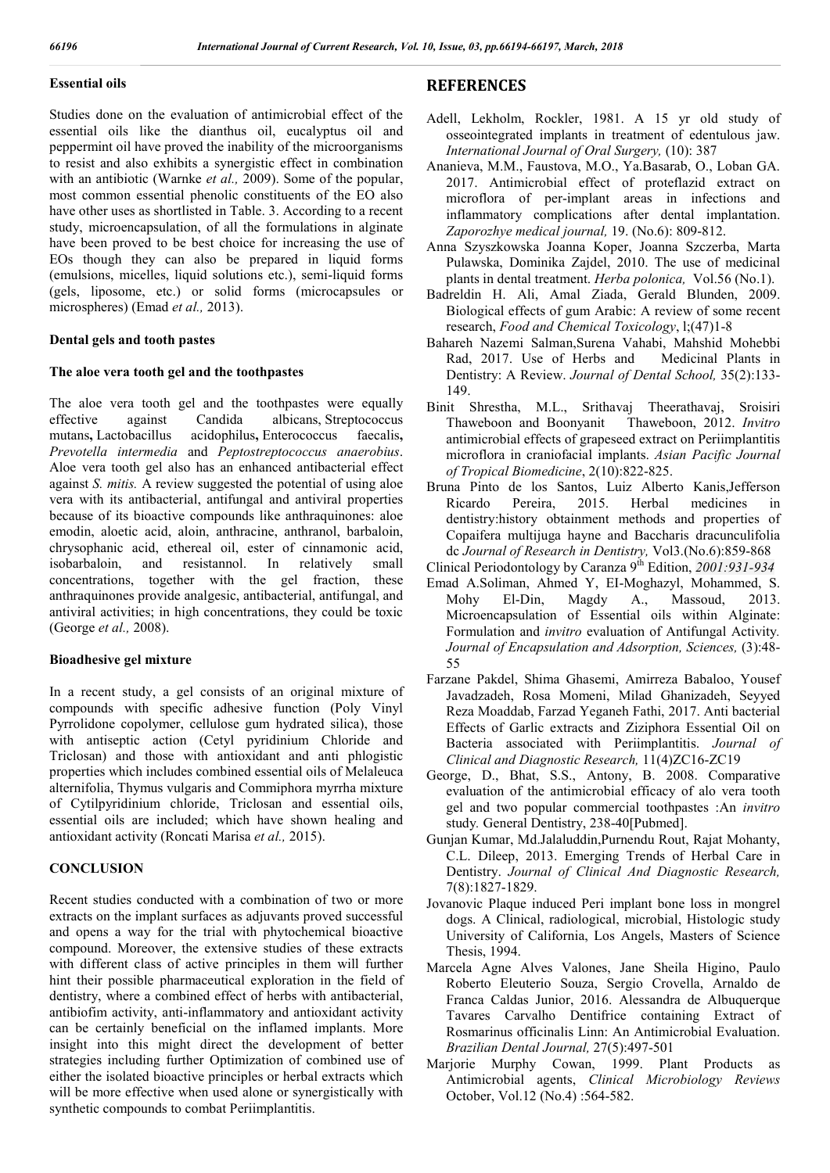## **Essential oils**

Studies done on the evaluation of antimicrobial effect of the essential oils like the dianthus oil, eucalyptus oil and peppermint oil have proved the inability of the microorganisms to resist and also exhibits a synergistic effect in combination with an antibiotic (Warnke *et al.,* 2009). Some of the popular, most common essential phenolic constituents of the EO also have other uses as shortlisted in Table. 3. According to a recent study, microencapsulation, of all the formulations in alginate have been proved to be best choice for increasing the use of EOs though they can also be prepared in liquid forms (emulsions, micelles, liquid solutions etc.), semi-liquid forms (gels, liposome, etc.) or solid forms (microcapsules or microspheres) (Emad *et al.,* 2013).

## **Dental gels and tooth pastes**

# **The aloe vera tooth gel and the toothpastes**

The aloe vera tooth gel and the toothpastes were equally effective against Candida albicans, Streptococcus mutans**,** Lactobacillus acidophilus**,** Enterococcus faecalis**,** *Prevotella intermedia* and *Peptostreptococcus anaerobius*. Aloe vera tooth gel also has an enhanced antibacterial effect against *S. mitis.* A review suggested the potential of using aloe vera with its antibacterial, antifungal and antiviral properties because of its bioactive compounds like anthraquinones: aloe emodin, aloetic acid, aloin, anthracine, anthranol, barbaloin, chrysophanic acid, ethereal oil, ester of cinnamonic acid, isobarbaloin, and resistannol. In relatively small concentrations, together with the gel fraction, these anthraquinones provide analgesic, antibacterial, antifungal, and antiviral activities; in high concentrations, they could be toxic (George *et al.,* 2008).

## **Bioadhesive gel mixture**

In a recent study, a gel consists of an original mixture of compounds with specific adhesive function (Poly Vinyl Pyrrolidone copolymer, cellulose gum hydrated silica), those with antiseptic action (Cetyl pyridinium Chloride and Triclosan) and those with antioxidant and anti phlogistic properties which includes combined essential oils of Melaleuca alternifolia, Thymus vulgaris and Commiphora myrrha mixture of Cytilpyridinium chloride, Triclosan and essential oils, essential oils are included; which have shown healing and antioxidant activity (Roncati Marisa *et al.,* 2015).

# **CONCLUSION**

Recent studies conducted with a combination of two or more extracts on the implant surfaces as adjuvants proved successful and opens a way for the trial with phytochemical bioactive compound. Moreover, the extensive studies of these extracts with different class of active principles in them will further hint their possible pharmaceutical exploration in the field of dentistry, where a combined effect of herbs with antibacterial, antibiofim activity, anti-inflammatory and antioxidant activity can be certainly beneficial on the inflamed implants. More insight into this might direct the development of better strategies including further Optimization of combined use of either the isolated bioactive principles or herbal extracts which will be more effective when used alone or synergistically with synthetic compounds to combat Periimplantitis.

# **REFERENCES**

- Adell, Lekholm, Rockler, 1981. A 15 yr old study of osseointegrated implants in treatment of edentulous jaw. *International Journal of Oral Surgery,* (10): 387
- Ananieva, M.M., Faustova, M.O., Ya.Basarab, O., Loban GA. 2017. Antimicrobial effect of proteflazid extract on microflora of per-implant areas in infections and inflammatory complications after dental implantation. *Zaporozhye medical journal,* 19. (No.6): 809-812.
- Anna Szyszkowska Joanna Koper, Joanna Szczerba, Marta Pulawska, Dominika Zajdel, 2010. The use of medicinal plants in dental treatment. *Herba polonica,* Vol.56 (No.1).
- Badreldin H. Ali, Amal Ziada, Gerald Blunden, 2009. Biological effects of gum Arabic: A review of some recent research, *Food and Chemical Toxicology*, l;(47)1-8
- Bahareh Nazemi Salman,Surena Vahabi, Mahshid Mohebbi Rad, 2017. Use of Herbs and Medicinal Plants in Dentistry: A Review. *Journal of Dental School,* 35(2):133- 149.
- Binit Shrestha, M.L., Srithavaj Theerathavaj, Sroisiri Thaweboon and Boonyanit antimicrobial effects of grapeseed extract on Periimplantitis microflora in craniofacial implants. *Asian Pacific Journal of Tropical Biomedicine*, 2(10):822-825.
- Bruna Pinto de los Santos, Luiz Alberto Kanis,Jefferson Ricardo Pereira, 2015. Herbal medicines in dentistry:history obtainment methods and properties of Copaifera multijuga hayne and Baccharis dracunculifolia dc *Journal of Research in Dentistry,* Vol3.(No.6):859-868
- Clinical Periodontology by Caranza 9<sup>th</sup> Edition, 2001:931-934
- Emad A.Soliman, Ahmed Y, EI-Moghazyl, Mohammed, S. Mohy El-Din, Magdy A., Massoud, 2013. Microencapsulation of Essential oils within Alginate: Formulation and *invitro* evaluation of Antifungal Activity*. Journal of Encapsulation and Adsorption, Sciences,* (3):48- 55
- Farzane Pakdel, Shima Ghasemi, Amirreza Babaloo, Yousef Javadzadeh, Rosa Momeni, Milad Ghanizadeh, Seyyed Reza Moaddab, Farzad Yeganeh Fathi, 2017. Anti bacterial Effects of Garlic extracts and Ziziphora Essential Oil on Bacteria associated with Periimplantitis. *Journal of Clinical and Diagnostic Research,* 11(4)ZC16-ZC19
- George, D., Bhat, S.S., Antony, B. 2008. Comparative evaluation of the antimicrobial efficacy of alo vera tooth gel and two popular commercial toothpastes :An *invitro* study*.* General Dentistry, 238-40[Pubmed].
- Gunjan Kumar, Md.Jalaluddin,Purnendu Rout, Rajat Mohanty, C.L. Dileep, 2013. Emerging Trends of Herbal Care in Dentistry. *Journal of Clinical And Diagnostic Research,* 7(8):1827-1829.
- Jovanovic Plaque induced Peri implant bone loss in mongrel dogs. A Clinical, radiological, microbial, Histologic study University of California, Los Angels, Masters of Science Thesis, 1994.
- Marcela Agne Alves Valones, Jane Sheila Higino, Paulo Roberto Eleuterio Souza, Sergio Crovella, Arnaldo de Franca Caldas Junior, 2016. Alessandra de Albuquerque Tavares Carvalho Dentifrice containing Extract of Rosmarinus officinalis Linn: An Antimicrobial Evaluation. *Brazilian Dental Journal,* 27(5):497-501
- Marjorie Murphy Cowan, 1999. Plant Products as Antimicrobial agents, *Clinical Microbiology Reviews* October, Vol.12 (No.4) :564-582.